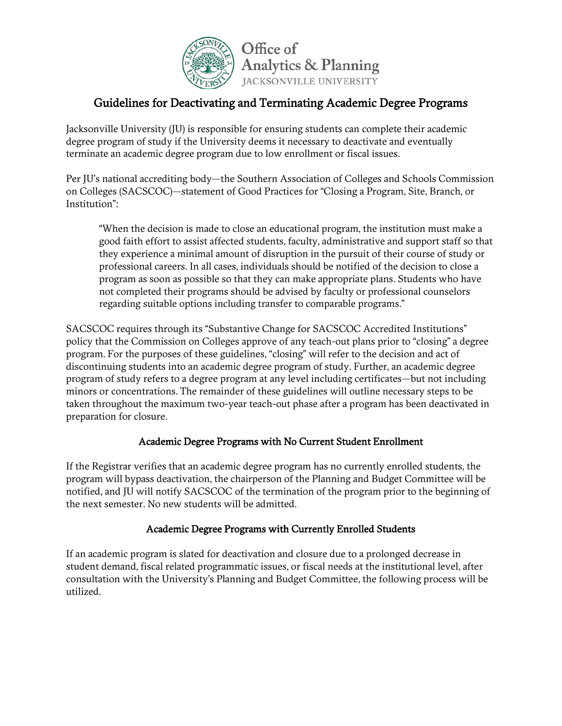

# Guidelines for Deactivating and Terminating Academic Degree Programs

Jacksonville University (JU) is responsible for ensuring students can complete their academic degree program of study if the University deems it necessary to deactivate and eventually terminate an academic degree program due to low enrollment or fiscal issues.

Per JU's national accrediting body—the Southern Association of Colleges and Schools Commission on Colleges (SACSCOC)—statement of Good Practices for "Closing a Program, Site, Branch, or Institution":

"When the decision is made to close an educational program, the institution must make a good faith effort to assist affected students, faculty, administrative and support staff so that they experience a minimal amount of disruption in the pursuit of their course of study or professional careers. In all cases, individuals should be notified of the decision to close a program as soon as possible so that they can make appropriate plans. Students who have not completed their programs should be advised by faculty or professional counselors regarding suitable options including transfer to comparable programs."

SACSCOC requires through its "Substantive Change for SACSCOC Accredited Institutions" policy that the Commission on Colleges approve of any teach-out plans prior to "closing" a degree program. For the purposes of these guidelines, "closing" will refer to the decision and act of discontinuing students into an academic degree program of study. Further, an academic degree program of study refers to a degree program at any level including certificates—but not including minors or concentrations. The remainder of these guidelines will outline necessary steps to be taken throughout the maximum two-year teach-out phase after a program has been deactivated in preparation for closure.

## Academic Degree Programs with No Current Student Enrollment

If the Registrar verifies that an academic degree program has no currently enrolled students, the program will bypass deactivation, the chairperson of the Planning and Budget Committee will be notified, and JU will notify SACSCOC of the termination of the program prior to the beginning of the next semester. No new students will be admitted.

## Academic Degree Programs with Currently Enrolled Students

If an academic program is slated for deactivation and closure due to a prolonged decrease in student demand, fiscal related programmatic issues, or fiscal needs at the institutional level, after consultation with the University's Planning and Budget Committee, the following process will be utilized.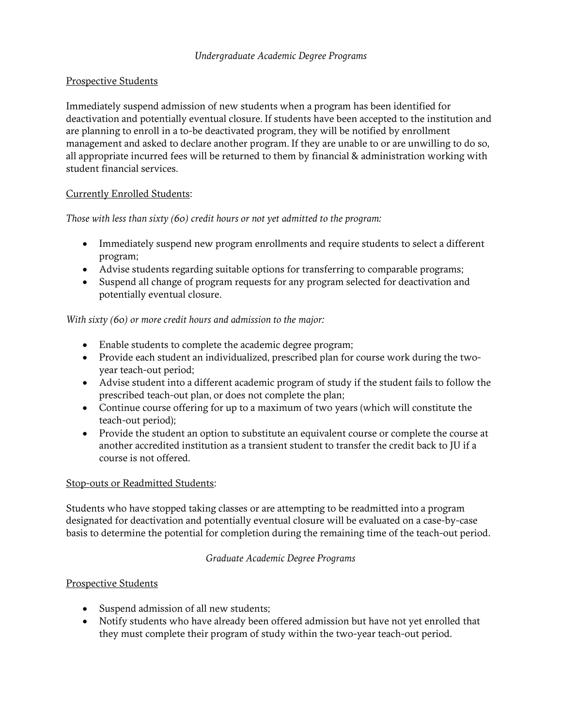## Prospective Students

Immediately suspend admission of new students when a program has been identified for deactivation and potentially eventual closure. If students have been accepted to the institution and are planning to enroll in a to-be deactivated program, they will be notified by enrollment management and asked to declare another program. If they are unable to or are unwilling to do so, all appropriate incurred fees will be returned to them by financial & administration working with student financial services.

## Currently Enrolled Students:

*Those with less than sixty (60) credit hours or not yet admitted to the program:*

- Immediately suspend new program enrollments and require students to select a different program;
- Advise students regarding suitable options for transferring to comparable programs;
- Suspend all change of program requests for any program selected for deactivation and potentially eventual closure.

*With sixty (60) or more credit hours and admission to the major:*

- Enable students to complete the academic degree program;
- Provide each student an individualized, prescribed plan for course work during the twoyear teach-out period;
- Advise student into a different academic program of study if the student fails to follow the prescribed teach-out plan, or does not complete the plan;
- Continue course offering for up to a maximum of two years (which will constitute the teach-out period);
- Provide the student an option to substitute an equivalent course or complete the course at another accredited institution as a transient student to transfer the credit back to JU if a course is not offered.

#### Stop-outs or Readmitted Students:

Students who have stopped taking classes or are attempting to be readmitted into a program designated for deactivation and potentially eventual closure will be evaluated on a case-by-case basis to determine the potential for completion during the remaining time of the teach-out period.

## *Graduate Academic Degree Programs*

## Prospective Students

- Suspend admission of all new students;
- Notify students who have already been offered admission but have not yet enrolled that they must complete their program of study within the two-year teach-out period.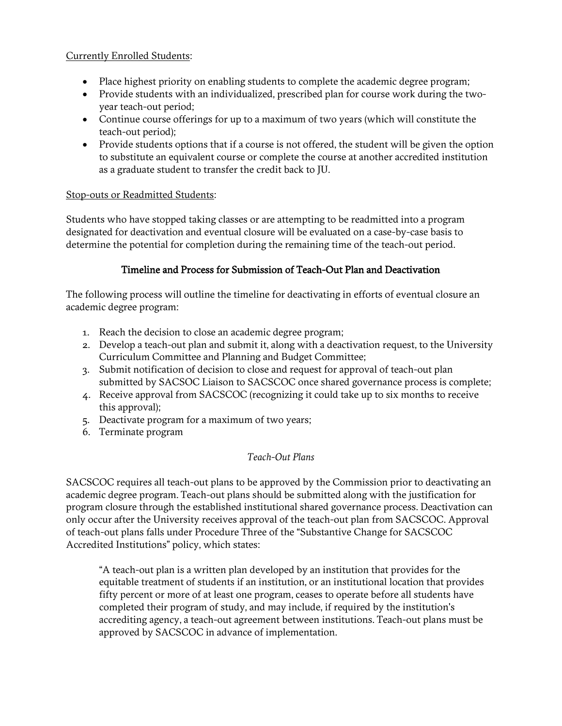#### Currently Enrolled Students:

- Place highest priority on enabling students to complete the academic degree program;
- Provide students with an individualized, prescribed plan for course work during the twoyear teach-out period;
- Continue course offerings for up to a maximum of two years (which will constitute the teach-out period);
- Provide students options that if a course is not offered, the student will be given the option to substitute an equivalent course or complete the course at another accredited institution as a graduate student to transfer the credit back to JU.

#### Stop-outs or Readmitted Students:

Students who have stopped taking classes or are attempting to be readmitted into a program designated for deactivation and eventual closure will be evaluated on a case-by-case basis to determine the potential for completion during the remaining time of the teach-out period.

#### Timeline and Process for Submission of Teach-Out Plan and Deactivation

The following process will outline the timeline for deactivating in efforts of eventual closure an academic degree program:

- 1. Reach the decision to close an academic degree program;
- 2. Develop a teach-out plan and submit it, along with a deactivation request, to the University Curriculum Committee and Planning and Budget Committee;
- 3. Submit notification of decision to close and request for approval of teach-out plan submitted by SACSOC Liaison to SACSCOC once shared governance process is complete;
- 4. Receive approval from SACSCOC (recognizing it could take up to six months to receive this approval);
- 5. Deactivate program for a maximum of two years;
- 6. Terminate program

#### *Teach-Out Plans*

SACSCOC requires all teach-out plans to be approved by the Commission prior to deactivating an academic degree program. Teach-out plans should be submitted along with the justification for program closure through the established institutional shared governance process. Deactivation can only occur after the University receives approval of the teach-out plan from SACSCOC. Approval of teach-out plans falls under Procedure Three of the "Substantive Change for SACSCOC Accredited Institutions" policy, which states:

"A teach-out plan is a written plan developed by an institution that provides for the equitable treatment of students if an institution, or an institutional location that provides fifty percent or more of at least one program, ceases to operate before all students have completed their program of study, and may include, if required by the institution's accrediting agency, a teach-out agreement between institutions. Teach-out plans must be approved by SACSCOC in advance of implementation.